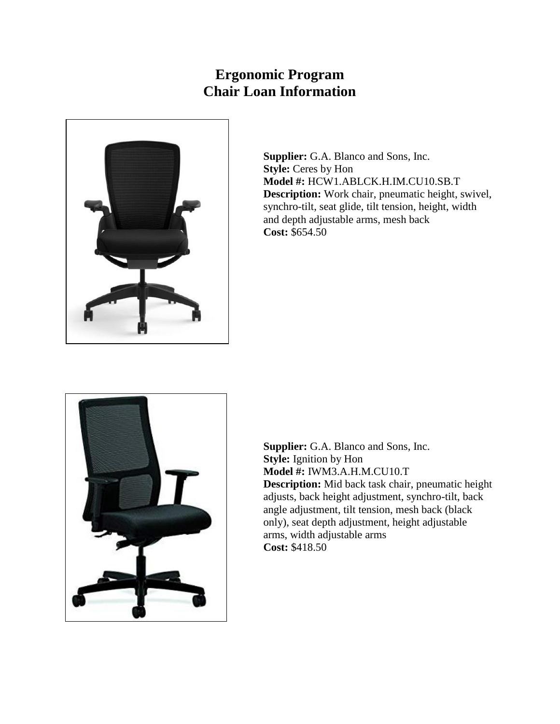## **Ergonomic Program Chair Loan Information**



**Supplier:** G.A. Blanco and Sons, Inc. **Style:** Ceres by Hon **Model #:** HCW1.ABLCK.H.IM.CU10.SB.T **Description:** Work chair, pneumatic height, swivel, synchro-tilt, seat glide, tilt tension, height, width and depth adjustable arms, mesh back **Cost:** \$654.50



**Supplier:** G.A. Blanco and Sons, Inc. **Style:** Ignition by Hon **Model #:** IWM3.A.H.M.CU10.T **Description:** Mid back task chair, pneumatic height adjusts, back height adjustment, synchro-tilt, back angle adjustment, tilt tension, mesh back (black only), seat depth adjustment, height adjustable arms, width adjustable arms **Cost:** \$418.50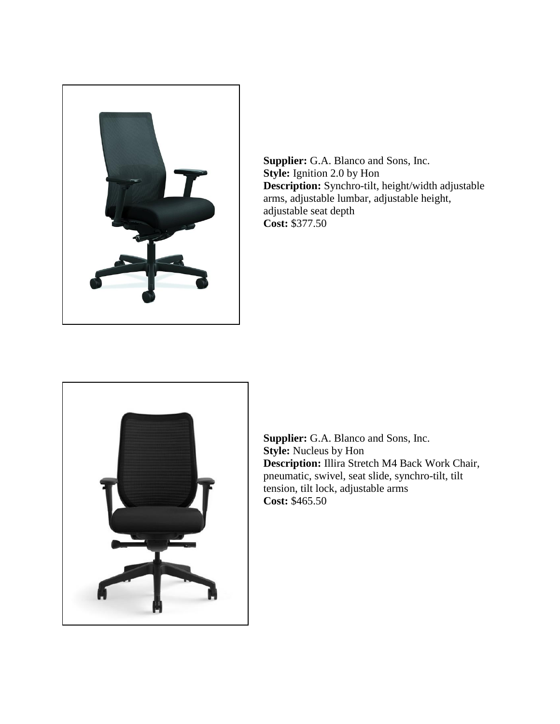

**Supplier:** G.A. Blanco and Sons, Inc. **Style:** Ignition 2.0 by Hon **Description:** Synchro-tilt, height/width adjustable arms, adjustable lumbar, adjustable height, adjustable seat depth **Cost:** \$377.50



**Supplier:** G.A. Blanco and Sons, Inc. **Style:** Nucleus by Hon **Description:** Illira Stretch M4 Back Work Chair, pneumatic, swivel, seat slide, synchro-tilt, tilt tension, tilt lock, adjustable arms **Cost:** \$465.50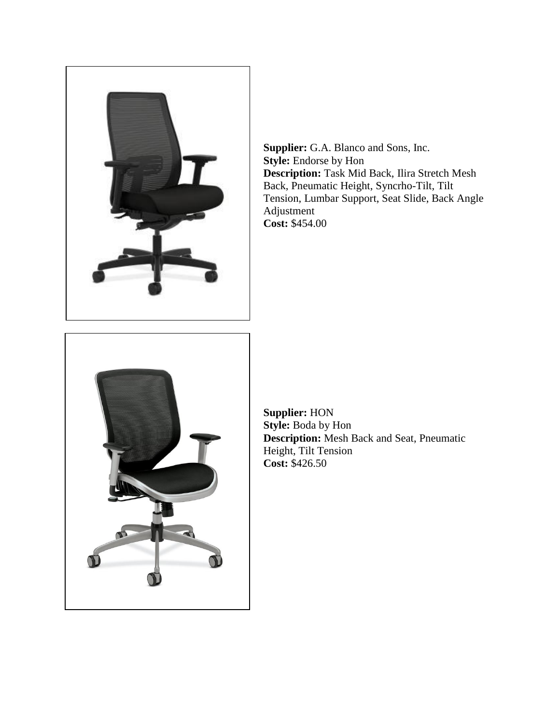

**Supplier:** G.A. Blanco and Sons, Inc. **Style:** Endorse by Hon **Description:** Task Mid Back, Ilira Stretch Mesh Back, Pneumatic Height, Syncrho-Tilt, Tilt Tension, Lumbar Support, Seat Slide, Back Angle Adjustment **Cost:** \$454.00



**Supplier:** HON **Style:** Boda by Hon **Description:** Mesh Back and Seat, Pneumatic Height, Tilt Tension **Cost:** \$426.50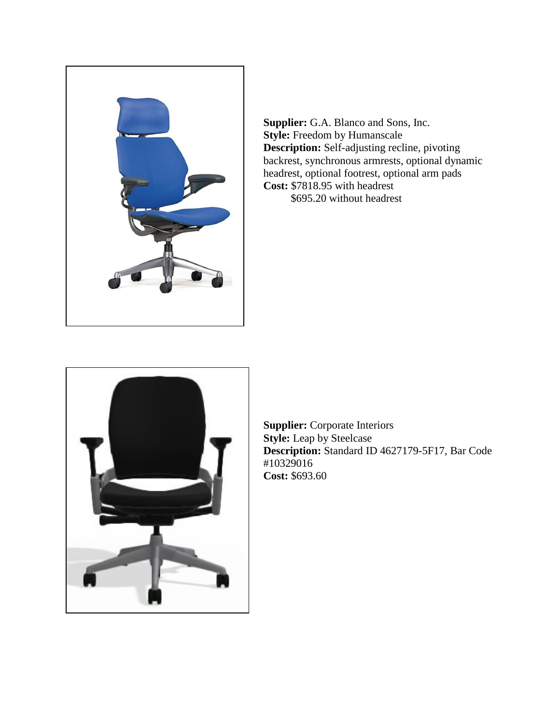

**Supplier:** G.A. Blanco and Sons, Inc. **Style:** Freedom by Humanscale **Description:** Self-adjusting recline, pivoting backrest, synchronous armrests, optional dynamic headrest, optional footrest, optional arm pads **Cost:** \$7818.95 with headrest \$695.20 without headrest



**Supplier:** Corporate Interiors **Style:** Leap by Steelcase **Description:** Standard ID 4627179-5F17, Bar Code #10329016 **Cost:** \$693.60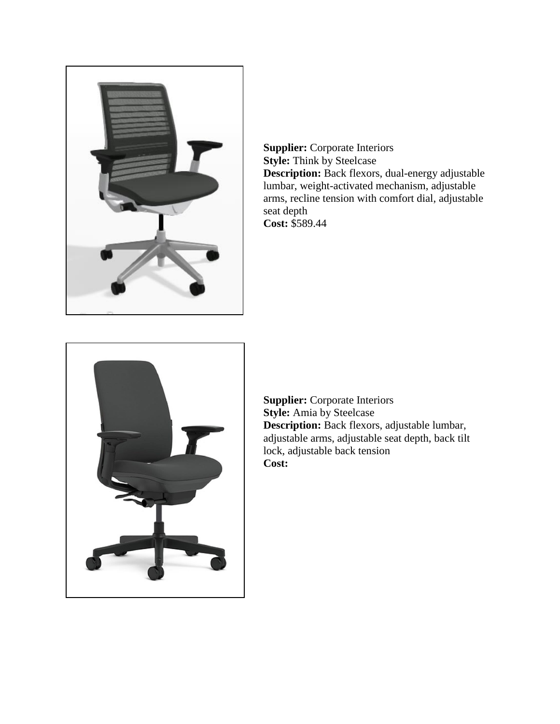

**Supplier:** Corporate Interiors **Style:** Think by Steelcase **Description:** Back flexors, dual-energy adjustable lumbar, weight-activated mechanism, adjustable arms, recline tension with comfort dial, adjustable seat depth **Cost:** \$589.44



**Supplier:** Corporate Interiors **Style:** Amia by Steelcase **Description:** Back flexors, adjustable lumbar, adjustable arms, adjustable seat depth, back tilt lock, adjustable back tension **Cost:**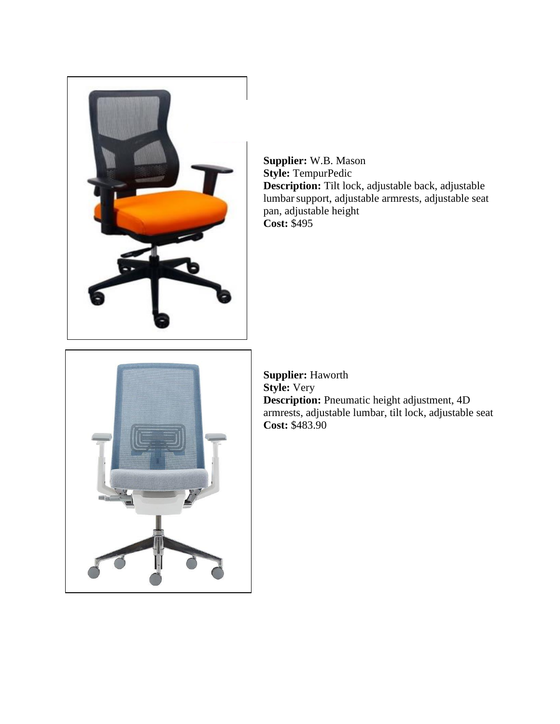

**Supplier:** W.B. Mason **Style:** TempurPedic **Description:** Tilt lock, adjustable back, adjustable lumbarsupport, adjustable armrests, adjustable seat pan, adjustable height **Cost:** \$495



**Supplier:** Haworth **Style:** Very **Description:** Pneumatic height adjustment, 4D armrests, adjustable lumbar, tilt lock, adjustable seat **Cost:** \$483.90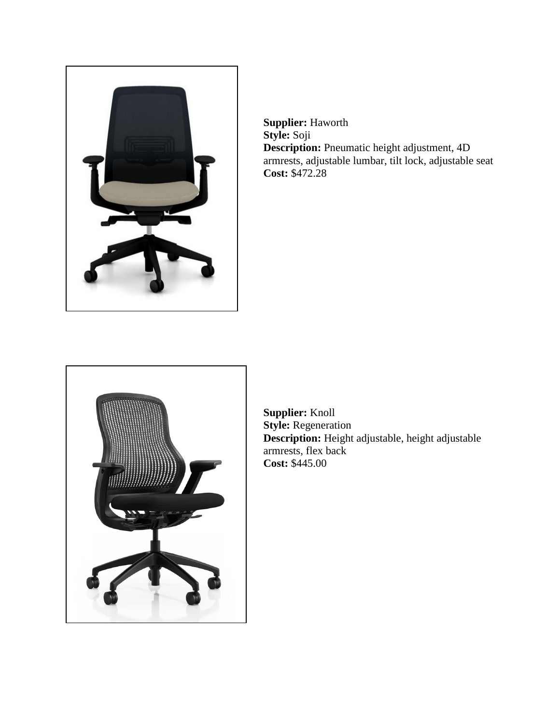

**Supplier:** Haworth **Style:** Soji **Description:** Pneumatic height adjustment, 4D armrests, adjustable lumbar, tilt lock, adjustable seat **Cost:** \$472.28



**Supplier:** Knoll **Style:** Regeneration **Description:** Height adjustable, height adjustable armrests, flex back **Cost:** \$445.00